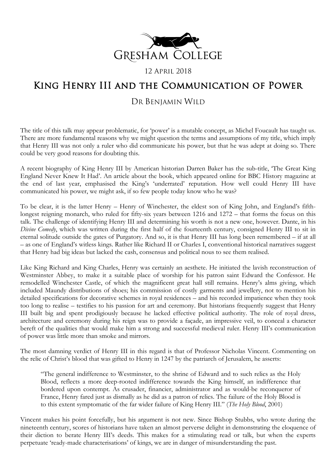

### 12 April 2018

# King Henry III and the Communication of Power

## DR BENJAMIN WILD

The title of this talk may appear problematic, for 'power' is a mutable concept, as Michel Foucault has taught us. There are more fundamental reasons why we might question the terms and assumptions of my title, which imply that Henry III was not only a ruler who did communicate his power, but that he was adept at doing so. There could be very good reasons for doubting this.

A recent biography of King Henry III by American historian Darren Baker has the sub-title, 'The Great King England Never Knew It Had'. An article about the book, which appeared online for BBC History magazine at the end of last year, emphasised the King's 'underrated' reputation. How well could Henry III have communicated his power, we might ask, if so few people today know who he was?

To be clear, it is the latter Henry – Henry of Winchester, the eldest son of King John, and England's fifthlongest reigning monarch, who ruled for fifty-six years between 1216 and 1272 – that forms the focus on this talk. The challenge of identifying Henry III and determining his worth is not a new one, however. Dante, in his *Divine Comedy*, which was written during the first half of the fourteenth century, consigned Henry III to sit in eternal solitude outside the gates of Purgatory. And so, it is that Henry III has long been remembered – if at all – as one of England's witless kings. Rather like Richard II or Charles I, conventional historical narratives suggest that Henry had big ideas but lacked the cash, consensus and political nous to see them realised.

Like King Richard and King Charles, Henry was certainly an aesthete. He initiated the lavish reconstruction of Westminster Abbey, to make it a suitable place of worship for his patron saint Edward the Confessor. He remodelled Winchester Castle, of which the magnificent great hall still remains. Henry's alms giving, which included Maundy distributions of shoes; his commission of costly garments and jewellery, not to mention his detailed specifications for decorative schemes in royal residences – and his recorded impatience when they took too long to realise – testifies to his passion for art and ceremony. But historians frequently suggest that Henry III built big and spent prodigiously because he lacked effective political authority. The role of royal dress, architecture and ceremony during his reign was to provide a façade, an impressive veil, to conceal a character bereft of the qualities that would make him a strong and successful medieval ruler. Henry III's communication of power was little more than smoke and mirrors.

The most damning verdict of Henry III in this regard is that of Professor Nicholas Vincent. Commenting on the relic of Christ's blood that was gifted to Henry in 1247 by the patriarch of Jerusalem, he asserts:

"The general indifference to Westminster, to the shrine of Edward and to such relics as the Holy Blood, reflects a more deep-rooted indifference towards the King himself, an indifference that bordered upon contempt. As crusader, financier, administrator and as would-be reconqueror of France, Henry fared just as dismally as he did as a patron of relics. The failure of the Holy Blood is to this extent symptomatic of the far wider failure of King Henry III." (*The Holy Blood*, 2001)

Vincent makes his point forcefully, but his argument is not new. Since Bishop Stubbs, who wrote during the nineteenth century, scores of historians have taken an almost perverse delight in demonstrating the eloquence of their diction to berate Henry III's deeds. This makes for a stimulating read or talk, but when the experts perpetuate 'ready-made characterisations' of kings, we are in danger of misunderstanding the past.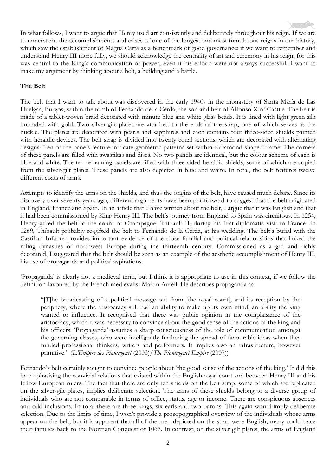In what follows, I want to argue that Henry used art consistently and deliberately throughout his reign. If we are to understand the accomplishments and crises of one of the longest and most tumultuous reigns in our history, which saw the establishment of Magna Carta as a benchmark of good governance; if we want to remember and understand Henry III more fully, we should acknowledge the centrality of art and ceremony in his reign, for this was central to the King's communication of power, even if his efforts were not always successful. I want to make my argument by thinking about a belt, a building and a battle.

#### **The Belt**

The belt that I want to talk about was discovered in the early 1940s in the monastery of Santa María de Las Huelgas, Burgos, within the tomb of Fernando de la Cerda, the son and heir of Alfonso X of Castile. The belt is made of a tablet-woven braid decorated with minute blue and white glass beads. It is lined with light green silk brocaded with gold. Two silver-gilt plates are attached to the ends of the strap, one of which serves as the buckle. The plates are decorated with pearls and sapphires and each contains four three-sided shields painted with heraldic devices. The belt strap is divided into twenty equal sections, which are decorated with alternating designs. Ten of the panels feature intricate geometric patterns set within a diamond-shaped frame. The corners of these panels are filled with swastikas and discs. No two panels are identical, but the colour scheme of each is blue and white. The ten remaining panels are filled with three-sided heraldic shields, some of which are copied from the silver-gilt plates. These panels are also depicted in blue and white. In total, the belt features twelve different coats of arms.

Attempts to identify the arms on the shields, and thus the origins of the belt, have caused much debate. Since its discovery over seventy years ago, different arguments have been put forward to suggest that the belt originated in England, France and Spain. In an article that I have written about the belt, I argue that it was English and that it had been commissioned by King Henry III. The belt's journey from England to Spain was circuitous. In 1254, Henry gifted the belt to the count of Champagne, Thibault II, during his first diplomatic visit to France. In 1269, Thibault probably re-gifted the belt to Fernando de la Cerda, at his wedding. The belt's burial with the Castilian Infante provides important evidence of the close familial and political relationships that linked the ruling dynasties of northwest Europe during the thirteenth century. Commissioned as a gift and richly decorated, I suggested that the belt should be seen as an example of the aesthetic accomplishment of Henry III, his use of propaganda and political aspirations.

'Propaganda' is clearly not a medieval term, but I think it is appropriate to use in this context, if we follow the definition favoured by the French medievalist Martin Aurell. He describes propaganda as:

"[T]he broadcasting of a political message out from [the royal court], and its reception by the periphery, where the aristocracy still had an ability to make up its own mind, an ability the king wanted to influence. It recognised that there was public opinion in the complaisance of the aristocracy, which it was necessary to convince about the good sense of the actions of the king and his officers. 'Propaganda' assumes a sharp consciousness of the role of communication amongst the governing classes, who were intelligently furthering the spread of favourable ideas when they funded professional thinkers, writers and performers. It implies also an infrastructure, however primitive." (*L'Empire des Plantagenêt* (2003)/*The Plantagenet Empire* (2007))

Fernando's belt certainly sought to convince people about 'the good sense of the actions of the king.' It did this by emphasising the convivial relations that existed within the English royal court and between Henry III and his fellow European rulers. The fact that there are only ten shields on the belt strap, some of which are replicated on the silver-gilt plates, implies deliberate selection. The arms of these shields belong to a diverse group of individuals who are not comparable in terms of office, status, age or income. There are conspicuous absences and odd inclusions. In total there are three kings, six earls and two barons. This again would imply deliberate selection. Due to the limits of time, I won't provide a prosopographical overview of the individuals whose arms appear on the belt, but it is apparent that all of the men depicted on the strap were English; many could trace their families back to the Norman Conquest of 1066. In contrast, on the silver gilt plates, the arms of England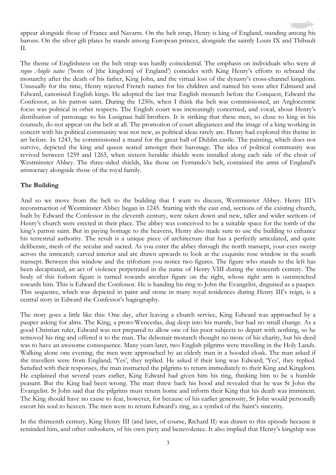appear alongside those of France and Navarre. On the belt strap, Henry is king of England, standing among his barons. On the silver gilt plates he stands among European princes, alongside the saintly Louis IX and Thibault II.

The theme of Englishness on the belt strap was hardly coincidental. The emphasis on individuals who were *de regno Anglie natos* ('born of [the kingdom] of England') coincides with King Henry's efforts to rebrand the monarchy after the death of his father, King John, and the virtual loss of the dynasty's cross-channel kingdom. Unusually for the time, Henry rejected French names for his children and named his sons after Edmund and Edward, canonised English kings. He adopted the last true English monarch before the Conquest, Edward the Confessor, as his patron saint. During the 1250s, when I think the belt was commissioned, an Anglocentric focus was political in other respects. The English court was increasingly concerned, and vocal, about Henry's distribution of patronage to his Lusignan half-brothers. It is striking that these men, so close to king in his counsels, do not appear on the belt at all. The promotion of court allegiances and the image of a king working in concert with his political community was not new, as political ideas rarely are. Henry had explored this theme in art before. In 1243, he commissioned a mural for the great hall of Dublin castle. The painting, which does not survive, depicted the king and queen seated amongst their baronage. The idea of political community was revived between 1259 and 1265, when sixteen heraldic shields were installed along each side of the choir of Westminster Abbey. The three-sided shields, like those on Fernando's belt, contained the arms of England's aristocracy alongside those of the royal family.

#### **The Building**

And so we move from the belt to the building that I want to discuss, Westminster Abbey. Henry III's reconstruction of Westminster Abbey began in 1245. Starting with the east end, sections of the existing church, built by Edward the Confessor in the eleventh century, were taken down and new, taller and wider sections of Henry's church were erected in their place. The abbey was conceived to be a suitable space for the tomb of the king's patron saint. But in paying homage to the heavens, Henry also made sure to use the building to enhance his terrestrial authority. The result is a unique piece of architecture that has a perfectly articulated, and quite deliberate, mesh of the secular and sacred. As you enter the abbey through the north transept, your eyes sweep across the intricately carved interior and are drawn upwards to look at the exquisite rose window in the south transept. Between this window and the triforium you notice two figures. The figure who stands to the left has been decapitated, an act of violence perpetrated in the name of Henry VIII during the sixteenth century. The body of this forlorn figure is turned towards another figure on the right, whose right arm is outstretched towards him. This is Edward the Confessor. He is handing his ring to John the Evangelist, disguised as a pauper. This sequence, which was depicted in paint and stone in many royal residences during Henry III's reign, is a central story in Edward the Confessor's hagiography.

The story goes a little like this: One day, after leaving a church service, King Edward was approached by a pauper asking for alms. The King, a proto-Wenceslas, dug deep into his mantle, but had no small change. As a good Christian ruler, Edward was not prepared to allow one of his poor subjects to depart with nothing, so he removed his ring and offered it to the man. The debonair monarch thought no more of his charity, but his deed was to have an awesome consequence. Many years later, two English pilgrims were travelling in the Holy Lands. Walking alone one evening, the men were approached by an elderly man in a hooded cloak. The man asked if the travellers were from England; 'Yes', they replied. He asked if their king was Edward; 'Yes', they replied. Satisfied with their responses, the man instructed the pilgrims to return immediately to their King and Kingdom. He explained that several years earlier, King Edward had given him his ring, thinking him to be a humble peasant. But the King had been wrong. The man threw back his hood and revealed that he was St John the Evangelist. St John said that the pilgrims must return home and inform their King that his death was imminent. The King should have no cause to fear, however, for because of his earlier generosity, St John would personally escort his soul to heaven. The men were to return Edward's ring, as a symbol of the Saint's sincerity.

In the thirteenth century, King Henry III (and later, of course, Richard II) was drawn to this episode because it reminded him, and other onlookers, of his own piety and benevolence. It also implied that Henry's kingship was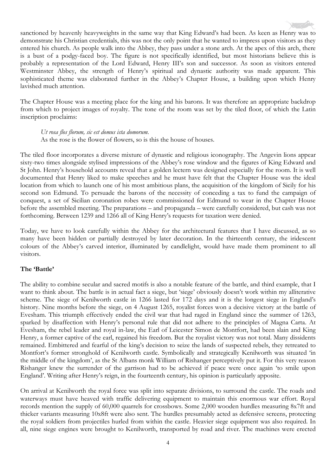sanctioned by heavenly heavyweights in the same way that King Edward's had been. As keen as Henry was to demonstrate his Christian credentials, this was not the only point that he wanted to impress upon visitors as they entered his church. As people walk into the Abbey, they pass under a stone arch. At the apex of this arch, there is a bust of a podgy-faced boy. The figure is not specifically identified, but most historians believe this is probably a representation of the Lord Edward, Henry III's son and successor. As soon as visitors entered Westminster Abbey, the strength of Henry's spiritual and dynastic authority was made apparent. This sophisticated theme was elaborated further in the Abbey's Chapter House, a building upon which Henry lavished much attention.

The Chapter House was a meeting place for the king and his barons. It was therefore an appropriate backdrop from which to project images of royalty. The tone of the room was set by the tiled floor, of which the Latin inscription proclaims:

*Ut rosa flos florum, sic est domus ista domorum.*

As the rose is the flower of flowers, so is this the house of houses.

The tiled floor incorporates a diverse mixture of dynastic and religious iconography. The Angevin lions appear sixty-two times alongside stylised impressions of the Abbey's rose window and the figures of King Edward and St John. Henry's household accounts reveal that a golden lectern was designed especially for the room. It is well documented that Henry liked to make speeches and he must have felt that the Chapter House was the ideal location from which to launch one of his most ambitious plans, the acquisition of the kingdom of Sicily for his second son Edmund. To persuade the barons of the necessity of conceding a tax to fund the campaign of conquest, a set of Sicilian coronation robes were commissioned for Edmund to wear in the Chapter House before the assembled meeting. The preparations – and propaganda – were carefully considered, but cash was not forthcoming. Between 1239 and 1266 all of King Henry's requests for taxation were denied.

Today, we have to look carefully within the Abbey for the architectural features that I have discussed, as so many have been hidden or partially destroyed by later decoration. In the thirteenth century, the iridescent colours of the Abbey's carved interior, illuminated by candlelight, would have made them prominent to all visitors.

#### **The 'Battle'**

The ability to combine secular and sacred motifs is also a notable feature of the battle, and third example, that I want to think about. The battle is in actual fact a siege, but 'siege' obviously doesn't work within my alliterative scheme. The siege of Kenilworth castle in 1266 lasted for 172 days and it is the longest siege in England's history. Nine months before the siege, on 4 August 1265, royalist forces won a decisive victory at the battle of Evesham. This triumph effectively ended the civil war that had raged in England since the summer of 1263, sparked by disaffection with Henry's personal rule that did not adhere to the principles of Magna Carta. At Evesham, the rebel leader and royal in-law, the Earl of Leicester Simon de Montfort, had been slain and King Henry, a former captive of the earl, regained his freedom. But the royalist victory was not total. Many dissidents remained. Embittered and fearful of the king's decision to seize the lands of suspected rebels, they retreated to Montfort's former stronghold of Kenilworth castle. Symbolically and strategically Kenilworth was situated 'in the middle of the kingdom', as the St Albans monk William of Rishanger perceptively put it. For this very reason Rishanger knew the surrender of the garrison had to be achieved if peace were once again 'to smile upon England'. Writing after Henry's reign, in the fourteenth century, his opinion is particularly apposite.

On arrival at Kenilworth the royal force was split into separate divisions, to surround the castle. The roads and waterways must have heaved with traffic delivering equipment to maintain this enormous war effort. Royal records mention the supply of 60,000 quarrels for crossbows. Some 2,000 wooden hurdles measuring 8x7ft and thicker variants measuring 10x8ft were also sent. The hurdles presumably acted as defensive screens, protecting the royal soldiers from projectiles hurled from within the castle. Heavier siege equipment was also required. In all, nine siege engines were brought to Kenilworth, transported by road and river. The machines were erected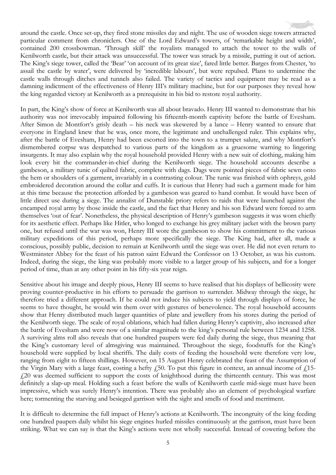The King's siege tower, called the 'Bear' 'on account of its great size', fared little better. Barges from Chester, 'to assail the castle by water', were delivered by 'incredible labours', but were repulsed. Plans to undermine the castle walls through ditches and tunnels also failed. The variety of tactics and equipment may be read as a damning indictment of the effectiveness of Henry III's military machine, but for our purposes they reveal how the king regarded victory at Kenilworth as a prerequisite in his bid to restore royal authority.

In part, the King's show of force at Kenilworth was all about bravado. Henry III wanted to demonstrate that his authority was not irrevocably impaired following his fifteenth-month captivity before the battle of Evesham. After Simon de Montfort's grisly death – his neck was skewered by a lance – Henry wanted to ensure that everyone in England knew that he was, once more, the legitimate and unchallenged ruler. This explains why, after the battle of Evesham, Henry had been escorted into the town to a trumpet salute, and why Montfort's dismembered corpse was despatched to various parts of the kingdom as a gruesome warning to lingering insurgents. It may also explain why the royal household provided Henry with a new suit of clothing, making him look every bit the commander-in-chief during the Kenilworth siege. The household accounts describe a gambeson, a military tunic of quilted fabric, complete with dags. Dags were pointed pieces of fabric sewn onto the hem or shoulders of a garment, invariably in a contrasting colour. The tunic was finished with ophreys, gold embroidered decoration around the collar and cuffs. It is curious that Henry had such a garment made for him at this time because the protection afforded by a gambeson was geared to hand combat. It would have been of little direct use during a siege. The annalist of Dunstable priory refers to raids that were launched against the encamped royal army by those inside the castle, and the fact that Henry and his son Edward were forced to arm themselves 'out of fear'. Nonetheless, the physical description of Henry's gambeson suggests it was worn chiefly for its aesthetic effect. Perhaps like Hitler, who longed to exchange his grey military jacket with the brown party one, but refused until the war was won, Henry III wore the gambeson to show his commitment to the various military expeditions of this period, perhaps more specifically the siege. The King had, after all, made a conscious, possibly public, decision to remain at Kenilworth until the siege was over. He did not even return to Westminster Abbey for the feast of his patron saint Edward the Confessor on 13 October, as was his custom. Indeed, during the siege, the king was probably more visible to a larger group of his subjects, and for a longer period of time, than at any other point in his fifty-six year reign.

Sensitive about his image and deeply pious, Henry III seems to have realised that his displays of bellicosity were proving counter-productive in his efforts to persuade the garrison to surrender. Midway through the siege, he therefore tried a different approach. If he could not induce his subjects to yield through displays of force, he seems to have thought, he would win them over with gestures of benevolence. The royal household accounts show that Henry distributed much larger quantities of plate and jewellery from his stores during the period of the Kenilworth siege. The scale of royal oblations, which had fallen during Henry's captivity, also increased after the battle of Evesham and were now of a similar magnitude to the king's personal rule between 1234 and 1258. A surviving alms roll also reveals that one hundred paupers were fed daily during the siege, thus meaning that the King's customary level of almsgiving was maintained. Throughout the siege, foodstuffs for the King's household were supplied by local sheriffs. The daily costs of feeding the household were therefore very low, ranging from eight to fifteen shillings. However, on 15 August Henry celebrated the feast of the Assumption of the Virgin Mary with a large feast, costing a hefty  $f_1$ 50. To put this figure in context, an annual income of  $f_1$ 15-£20 was deemed sufficient to support the costs of knighthood during the thirteenth century. This was most definitely a slap-up meal. Holding such a feast before the walls of Kenilworth castle mid-siege must have been impressive, which was surely Henry's intention. There was probably also an element of psychological warfare here; tormenting the starving and besieged garrison with the sight and smells of food and merriment.

It is difficult to determine the full impact of Henry's actions at Kenilworth. The incongruity of the king feeding one hundred paupers daily whilst his siege engines hurled missiles continuously at the garrison, must have been striking. What we can say is that the King's actions were not wholly successful. Instead of cowering before the